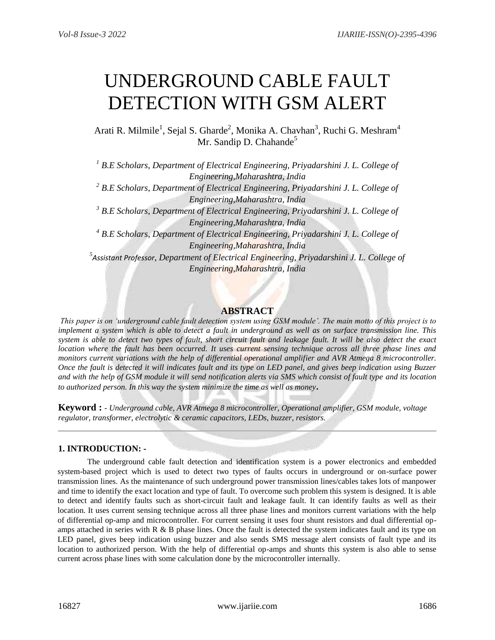# UNDERGROUND CABLE FAULT DETECTION WITH GSM ALERT

Arati R. Milmile<sup>1</sup>, Sejal S. Gharde<sup>2</sup>, Monika A. Chavhan<sup>3</sup>, Ruchi G. Meshram<sup>4</sup> Mr. Sandip D. Chahande<sup>5</sup>

*<sup>1</sup> B.E Scholars, Department of Electrical Engineering, Priyadarshini J. L. College of Engineering,Maharashtra, India <sup>2</sup> B.E Scholars, Department of Electrical Engineering, Priyadarshini J. L. College of Engineering,Maharashtra, India <sup>3</sup> B.E Scholars, Department of Electrical Engineering, Priyadarshini J. L. College of Engineering,Maharashtra, India <sup>4</sup> B.E Scholars, Department of Electrical Engineering, Priyadarshini J. L. College of Engineering,Maharashtra, India 5 Assistant Professor, Department of Electrical Engineering, Priyadarshini J. L. College of Engineering,Maharashtra, India*

# **ABSTRACT**

*This paper is on 'underground cable fault detection system using GSM module'. The main motto of this project is to implement a system which is able to detect a fault in underground as well as on surface transmission line. This system is able to detect two types of fault, short circuit fault and leakage fault. It will be also detect the exact location where the fault has been occurred. It uses current sensing technique across all three phase lines and monitors current variations with the help of differential operational amplifier and AVR Atmega 8 microcontroller. Once the fault is detected it will indicates fault and its type on LED panel, and gives beep indication using Buzzer and with the help of GSM module it will send notification alerts via SMS which consist of fault type and its location to authorized person. In this way the system minimize the time as well as money***.**

**Keyword :** *- Underground cable, AVR Atmega 8 microcontroller, Operational amplifier, GSM module, voltage regulator, transformer, electrolytic & ceramic capacitors, LEDs, buzzer, resistors.*

## **1. INTRODUCTION: -**

The underground cable fault detection and identification system is a power electronics and embedded system-based project which is used to detect two types of faults occurs in underground or on-surface power transmission lines. As the maintenance of such underground power transmission lines/cables takes lots of manpower and time to identify the exact location and type of fault. To overcome such problem this system is designed. It is able to detect and identify faults such as short-circuit fault and leakage fault. It can identify faults as well as their location. It uses current sensing technique across all three phase lines and monitors current variations with the help of differential op-amp and microcontroller. For current sensing it uses four shunt resistors and dual differential opamps attached in series with  $R \& B$  phase lines. Once the fault is detected the system indicates fault and its type on LED panel, gives beep indication using buzzer and also sends SMS message alert consists of fault type and its location to authorized person. With the help of differential op-amps and shunts this system is also able to sense current across phase lines with some calculation done by the microcontroller internally.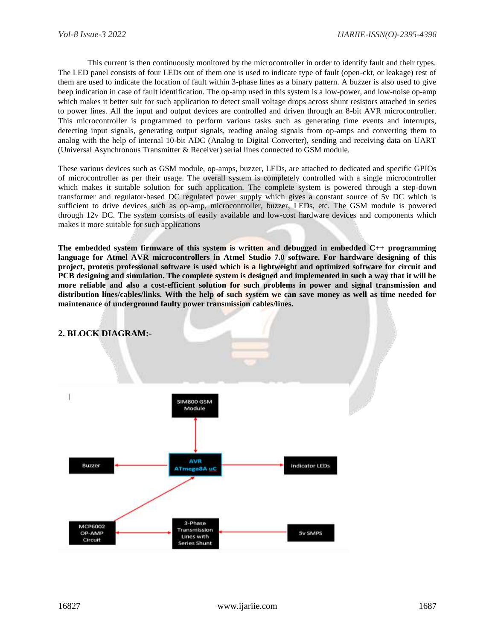This current is then continuously monitored by the microcontroller in order to identify fault and their types. The LED panel consists of four LEDs out of them one is used to indicate type of fault (open-ckt, or leakage) rest of them are used to indicate the location of fault within 3-phase lines as a binary pattern. A buzzer is also used to give beep indication in case of fault identification. The op-amp used in this system is a low-power, and low-noise op-amp which makes it better suit for such application to detect small voltage drops across shunt resistors attached in series to power lines. All the input and output devices are controlled and driven through an 8-bit AVR microcontroller. This microcontroller is programmed to perform various tasks such as generating time events and interrupts, detecting input signals, generating output signals, reading analog signals from op-amps and converting them to analog with the help of internal 10-bit ADC (Analog to Digital Converter), sending and receiving data on UART (Universal Asynchronous Transmitter & Receiver) serial lines connected to GSM module.

These various devices such as GSM module, op-amps, buzzer, LEDs, are attached to dedicated and specific GPIOs of microcontroller as per their usage. The overall system is completely controlled with a single microcontroller which makes it suitable solution for such application. The complete system is powered through a step-down transformer and regulator-based DC regulated power supply which gives a constant source of 5v DC which is sufficient to drive devices such as op-amp, microcontroller, buzzer, LEDs, etc. The GSM module is powered through 12v DC. The system consists of easily available and low-cost hardware devices and components which makes it more suitable for such applications

**The embedded system firmware of this system is written and debugged in embedded C++ programming language for Atmel AVR microcontrollers in Atmel Studio 7.0 software. For hardware designing of this project, proteus professional software is used which is a lightweight and optimized software for circuit and PCB designing and simulation. The complete system is designed and implemented in such a way that it will be more reliable and also a cost-efficient solution for such problems in power and signal transmission and distribution lines/cables/links. With the help of such system we can save money as well as time needed for maintenance of underground faulty power transmission cables/lines.**

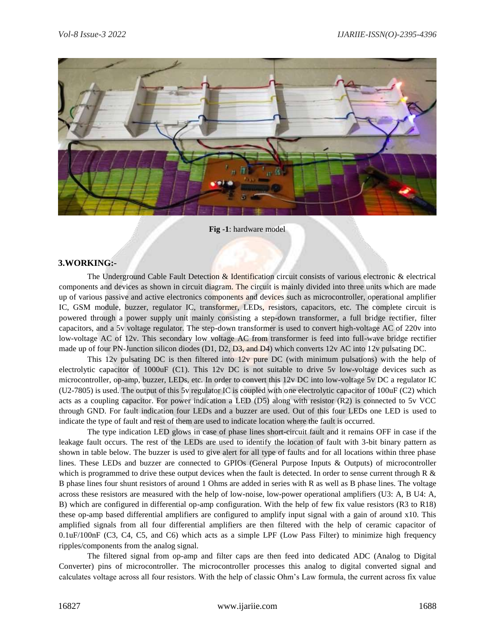

#### **Fig -1**: hardware model

#### **3.WORKING:-**

The Underground Cable Fault Detection & Identification circuit consists of various electronic & electrical components and devices as shown in circuit diagram. The circuit is mainly divided into three units which are made up of various passive and active electronics components and devices such as microcontroller, operational amplifier IC, GSM module, buzzer, regulator IC, transformer, LEDs, resistors, capacitors, etc. The complete circuit is powered through a power supply unit mainly consisting a step-down transformer, a full bridge rectifier, filter capacitors, and a 5v voltage regulator. The step-down transformer is used to convert high-voltage AC of 220v into low-voltage AC of 12v. This secondary low voltage AC from transformer is feed into full-wave bridge rectifier made up of four PN-Junction silicon diodes (D1, D2, D3, and D4) which converts 12v AC into 12v pulsating DC.

This 12v pulsating DC is then filtered into 12v pure DC (with minimum pulsations) with the help of electrolytic capacitor of 1000uF (C1). This 12v DC is not suitable to drive 5v low-voltage devices such as microcontroller, op-amp, buzzer, LEDs, etc. In order to convert this 12v DC into low-voltage 5v DC a regulator IC (U2-7805) is used. The output of this 5v regulator IC is coupled with one electrolytic capacitor of 100uF (C2) which acts as a coupling capacitor. For power indication a LED (D5) along with resistor (R2) is connected to 5v VCC through GND. For fault indication four LEDs and a buzzer are used. Out of this four LEDs one LED is used to indicate the type of fault and rest of them are used to indicate location where the fault is occurred.

The type indication LED glows in case of phase lines short-circuit fault and it remains OFF in case if the leakage fault occurs. The rest of the LEDs are used to identify the location of fault with 3-bit binary pattern as shown in table below. The buzzer is used to give alert for all type of faults and for all locations within three phase lines. These LEDs and buzzer are connected to GPIOs (General Purpose Inputs & Outputs) of microcontroller which is programmed to drive these output devices when the fault is detected. In order to sense current through R  $\&$ B phase lines four shunt resistors of around 1 Ohms are added in series with R as well as B phase lines. The voltage across these resistors are measured with the help of low-noise, low-power operational amplifiers (U3: A, B U4: A, B) which are configured in differential op-amp configuration. With the help of few fix value resistors (R3 to R18) these op-amp based differential amplifiers are configured to amplify input signal with a gain of around x10. This amplified signals from all four differential amplifiers are then filtered with the help of ceramic capacitor of 0.1uF/100nF (C3, C4, C5, and C6) which acts as a simple LPF (Low Pass Filter) to minimize high frequency ripples/components from the analog signal.

The filtered signal from op-amp and filter caps are then feed into dedicated ADC (Analog to Digital Converter) pins of microcontroller. The microcontroller processes this analog to digital converted signal and calculates voltage across all four resistors. With the help of classic Ohm's Law formula, the current across fix value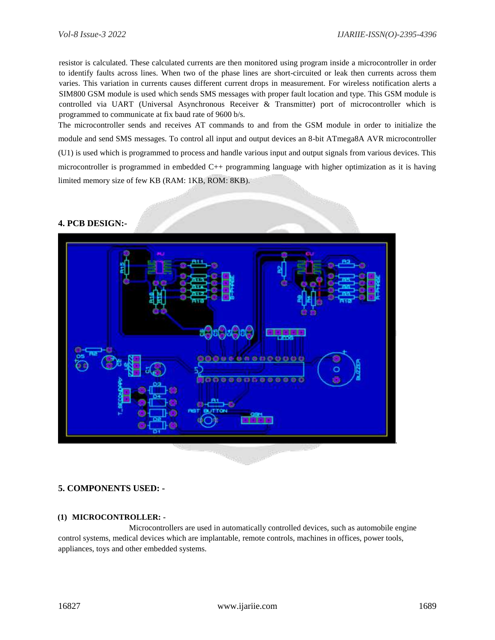resistor is calculated. These calculated currents are then monitored using program inside a microcontroller in order to identify faults across lines. When two of the phase lines are short-circuited or leak then currents across them varies. This variation in currents causes different current drops in measurement. For wireless notification alerts a SIM800 GSM module is used which sends SMS messages with proper fault location and type. This GSM module is controlled via UART (Universal Asynchronous Receiver & Transmitter) port of microcontroller which is programmed to communicate at fix baud rate of 9600 b/s.

The microcontroller sends and receives AT commands to and from the GSM module in order to initialize the module and send SMS messages. To control all input and output devices an 8-bit ATmega8A AVR microcontroller (U1) is used which is programmed to process and handle various input and output signals from various devices. This microcontroller is programmed in embedded C++ programming language with higher optimization as it is having limited memory size of few KB (RAM: 1KB, ROM: 8KB).

## **4. PCB DESIGN:-**



## **5. COMPONENTS USED: -**

#### **(1) MICROCONTROLLER: -**

 Microcontrollers are used in automatically controlled devices, such as automobile engine control systems, medical devices which are implantable, remote controls, machines in offices, power tools, appliances, toys and other embedded systems.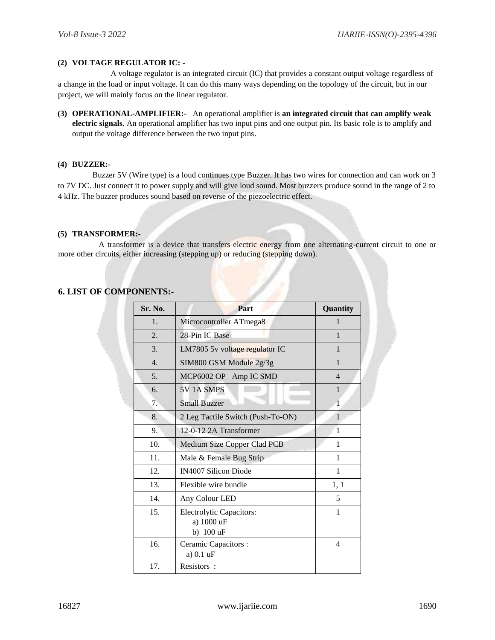#### **(2) VOLTAGE REGULATOR IC: -**

A voltage regulator is an integrated circuit (IC) that provides a constant output voltage regardless of a change in the load or input voltage. It can do this many ways depending on the topology of the circuit, but in our project, we will mainly focus on the linear regulator.

**(3) OPERATIONAL-AMPLIFIER:-** An operational amplifier is **an integrated circuit that can amplify weak electric signals**. An operational amplifier has two input pins and one output pin. Its basic role is to amplify and output the voltage difference between the two input pins.

#### **(4) BUZZER:-**

Buzzer 5V (Wire type) is a loud continues type Buzzer. It has two wires for connection and can work on 3 to 7V DC. Just connect it to power supply and will give loud sound. Most buzzers produce sound in the range of 2 to 4 kHz. The buzzer produces sound based on reverse of the piezoelectric effect.

#### **(5) TRANSFORMER:-**

A transformer is a device that transfers electric energy from one alternating-current circuit to one or more other circuits, either increasing (stepping up) or reducing (stepping down).

## **6. LIST OF COMPONENTS:-**

| Sr. No.          | Part                                                       | Quantity       |
|------------------|------------------------------------------------------------|----------------|
| 1.               | Microcontroller ATmega8                                    | $\mathbf{1}$   |
| $\overline{2}$ . | 28-Pin IC Base                                             | 1              |
| 3.               | LM7805 5v voltage regulator IC                             | 1              |
| $\overline{4}$ . | SIM800 GSM Module 2g/3g                                    | 1              |
| 5.               | MCP6002 OP -Amp IC SMD                                     | $\overline{4}$ |
| 6.               | 5V <sub>1</sub> A <sub>SMPS</sub>                          | 1              |
| 7.               | <b>Small Buzzer</b>                                        | $\mathbf{1}$   |
| 8.               | 2 Leg Tactile Switch (Push-To-ON)                          | 1              |
| 9.               | 12-0-12 2A Transformer                                     | 1              |
| 10.              | Medium Size Copper Clad PCB                                | 1              |
| 11.              | Male & Female Bug Strip                                    | 1              |
| 12.              | IN4007 Silicon Diode                                       | $\mathbf{1}$   |
| 13.              | Flexible wire bundle                                       | 1, 1           |
| 14.              | Any Colour LED                                             | 5              |
| 15.              | <b>Electrolytic Capacitors:</b><br>a) 1000 uF<br>b) 100 uF | $\mathbf{1}$   |
| 16.              | Ceramic Capacitors :<br>a) 0.1 uF                          | $\overline{4}$ |
| 17.              | Resistors:                                                 |                |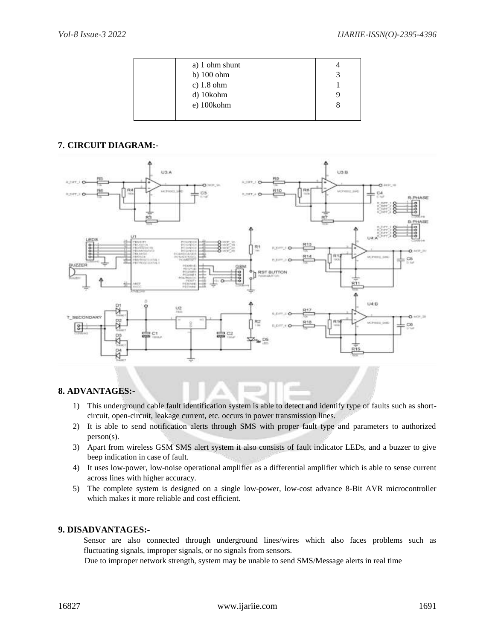| a) 1 ohm shunt       |  |
|----------------------|--|
| b) $100 \text{ ohm}$ |  |
| c) $1.8$ ohm         |  |
| d) 10kohm            |  |
| e) 100kohm           |  |
|                      |  |

# **7. CIRCUIT DIAGRAM:-**



## **8. ADVANTAGES:-**

- 1) This underground cable fault identification system is able to detect and identify type of faults such as shortcircuit, open-circuit, leakage current, etc. occurs in power transmission lines.
- 2) It is able to send notification alerts through SMS with proper fault type and parameters to authorized person(s).
- 3) Apart from wireless GSM SMS alert system it also consists of fault indicator LEDs, and a buzzer to give beep indication in case of fault.
- 4) It uses low-power, low-noise operational amplifier as a differential amplifier which is able to sense current across lines with higher accuracy.
- 5) The complete system is designed on a single low-power, low-cost advance 8-Bit AVR microcontroller which makes it more reliable and cost efficient.

## **9. DISADVANTAGES:-**

Sensor are also connected through underground lines/wires which also faces problems such as fluctuating signals, improper signals, or no signals from sensors.

Due to improper network strength, system may be unable to send SMS/Message alerts in real time